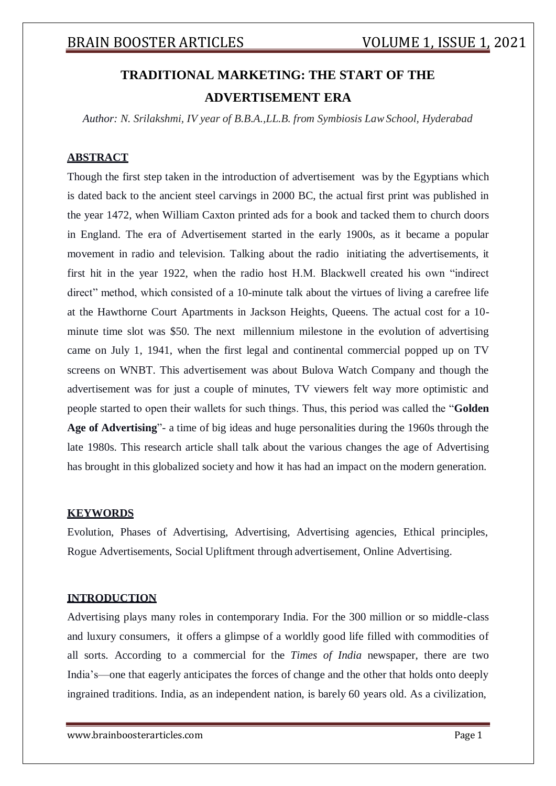# **TRADITIONAL MARKETING: THE START OF THE ADVERTISEMENT ERA**

*Author: N. Srilakshmi, IV year of B.B.A.,LL.B. from Symbiosis LawSchool, Hyderabad*

## **ABSTRACT**

Though the first step taken in the introduction of advertisement was by the Egyptians which is dated back to the ancient steel carvings in 2000 BC, the actual first print was published in the year 1472, when William Caxton printed ads for a book and tacked them to church doors in England. The era of Advertisement started in the early 1900s, as it became a popular movement in radio and television. Talking about the radio initiating the advertisements, it first hit in the year 1922, when the radio host H.M. Blackwell created his own "indirect direct" method, which consisted of a 10-minute talk about the virtues of living a carefree life at the Hawthorne Court Apartments in Jackson Heights, Queens. The actual cost for a 10 minute time slot was \$50. The next millennium milestone in the evolution of advertising came on July 1, 1941, when the first legal and continental commercial popped up on TV screens on WNBT. This advertisement was about Bulova Watch Company and though the advertisement was for just a couple of minutes, TV viewers felt way more optimistic and people started to open their wallets for such things. Thus, this period was called the "**Golden Age of Advertising**"- a time of big ideas and huge personalities during the 1960s through the late 1980s. This research article shall talk about the various changes the age of Advertising has brought in this globalized society and how it has had an impact on the modern generation.

## **KEYWORDS**

Evolution, Phases of Advertising, Advertising, Advertising agencies, Ethical principles, Rogue Advertisements, Social Upliftment through advertisement, Online Advertising.

## **INTRODUCTION**

Advertising plays many roles in contemporary India. For the 300 million or so middle-class and luxury consumers, it offers a glimpse of a worldly good life filled with commodities of all sorts. According to a commercial for the *Times of India* newspaper, there are two India's—one that eagerly anticipates the forces of change and the other that holds onto deeply ingrained traditions. India, as an independent nation, is barely 60 years old. As a civilization,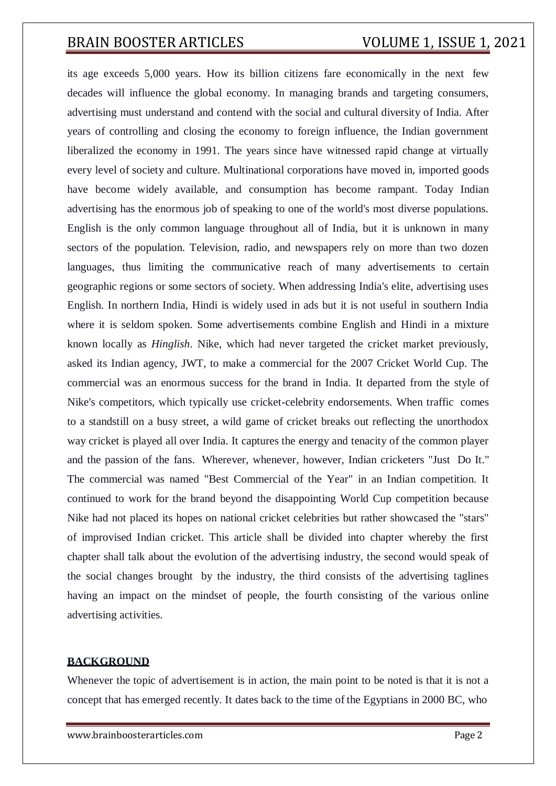its age exceeds 5,000 years. How its billion citizens fare economically in the next few decades will influence the global economy. In managing brands and targeting consumers, advertising must understand and contend with the social and cultural diversity of India. After years of controlling and closing the economy to foreign influence, the Indian government liberalized the economy in 1991. The years since have witnessed rapid change at virtually every level of society and culture. Multinational corporations have moved in, imported goods have become widely available, and consumption has become rampant. Today Indian advertising has the enormous job of speaking to one of the world's most diverse populations. English is the only common language throughout all of India, but it is unknown in many sectors of the population. Television, radio, and newspapers rely on more than two dozen languages, thus limiting the communicative reach of many advertisements to certain geographic regions or some sectors of society. When addressing India's elite, advertising uses English. In northern India, Hindi is widely used in ads but it is not useful in southern India where it is seldom spoken. Some advertisements combine English and Hindi in a mixture known locally as *Hinglish*. Nike, which had never targeted the cricket market previously, asked its Indian agency, JWT, to make a commercial for the 2007 Cricket World Cup. The commercial was an enormous success for the brand in India. It departed from the style of Nike's competitors, which typically use cricket-celebrity endorsements. When traffic comes to a standstill on a busy street, a wild game of cricket breaks out reflecting the unorthodox way cricket is played all over India. It captures the energy and tenacity of the common player and the passion of the fans. Wherever, whenever, however, Indian cricketers "Just Do It." The commercial was named "Best Commercial of the Year" in an Indian competition. It continued to work for the brand beyond the disappointing World Cup competition because Nike had not placed its hopes on national cricket celebrities but rather showcased the "stars" of improvised Indian cricket. This article shall be divided into chapter whereby the first chapter shall talk about the evolution of the advertising industry, the second would speak of the social changes brought by the industry, the third consists of the advertising taglines having an impact on the mindset of people, the fourth consisting of the various online advertising activities.

### **BACKGROUND**

Whenever the topic of advertisement is in action, the main point to be noted is that it is not a concept that has emerged recently. It dates back to the time of the Egyptians in 2000 BC, who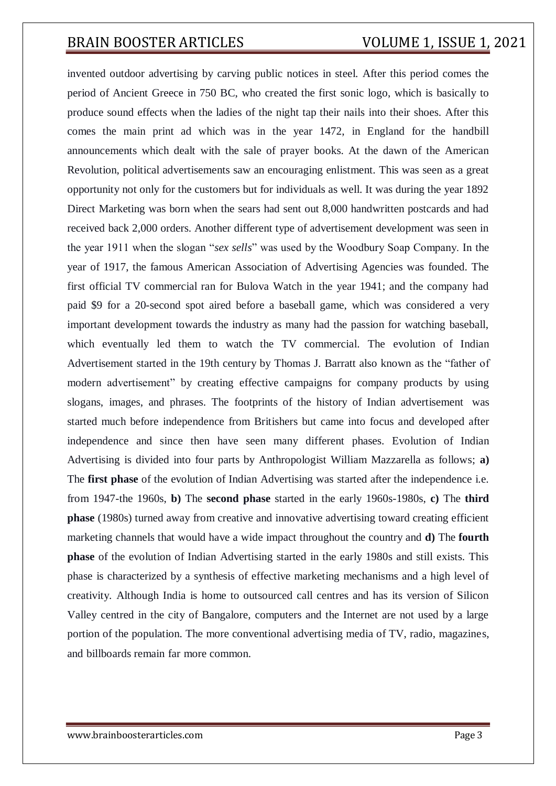invented outdoor advertising by carving public notices in steel. After this period comes the period of Ancient Greece in 750 BC, who created the first sonic logo, which is basically to produce sound effects when the ladies of the night tap their nails into their shoes. After this comes the main print ad which was in the year 1472, in England for the handbill announcements which dealt with the sale of prayer books. At the dawn of the American Revolution, political advertisements saw an encouraging enlistment. This was seen as a great opportunity not only for the customers but for individuals as well. It was during the year 1892 Direct Marketing was born when the sears had sent out 8,000 handwritten postcards and had received back 2,000 orders. Another different type of advertisement development was seen in the year 1911 when the slogan "*sex sells*" was used by the Woodbury Soap Company. In the year of 1917, the famous American Association of Advertising Agencies was founded. The first official TV commercial ran for Bulova Watch in the year 1941; and the company had paid \$9 for a 20-second spot aired before a baseball game, which was considered a very important development towards the industry as many had the passion for watching baseball, which eventually led them to watch the TV commercial. The evolution of Indian Advertisement started in the 19th century by Thomas J. Barratt also known as the "father of modern advertisement" by creating effective campaigns for company products by using slogans, images, and phrases. The footprints of the history of Indian advertisement was started much before independence from Britishers but came into focus and developed after independence and since then have seen many different phases. Evolution of Indian Advertising is divided into four parts by Anthropologist William Mazzarella as follows; **a)** The **first phase** of the evolution of Indian Advertising was started after the independence i.e. from 1947-the 1960s, **b)** The **second phase** started in the early 1960s-1980s, **c)** The **third phase** (1980s) turned away from creative and innovative advertising toward creating efficient marketing channels that would have a wide impact throughout the country and **d)** The **fourth phase** of the evolution of Indian Advertising started in the early 1980s and still exists. This phase is characterized by a synthesis of effective marketing mechanisms and a high level of creativity. Although India is home to outsourced call centres and has its version of Silicon Valley centred in the city of Bangalore, computers and the Internet are not used by a large portion of the population. The more conventional advertising media of TV, radio, magazines, and billboards remain far more common.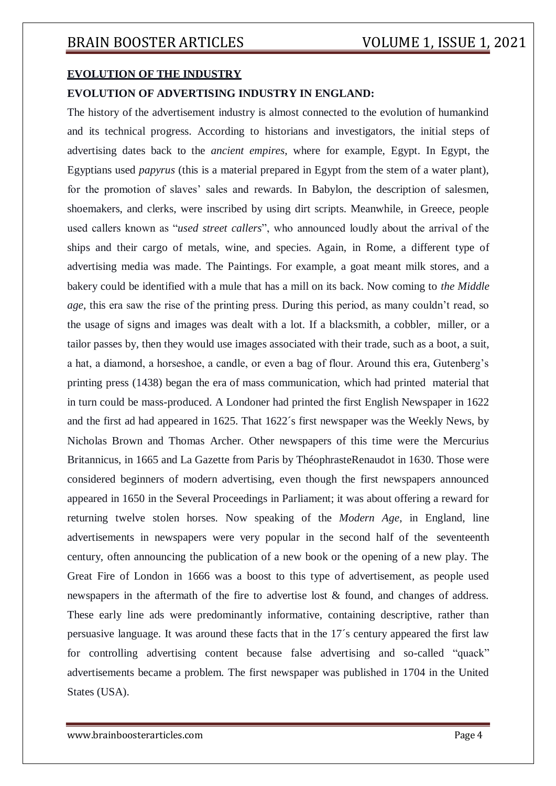## **EVOLUTION OF THE INDUSTRY**

## **EVOLUTION OF ADVERTISING INDUSTRY IN ENGLAND:**

The history of the advertisement industry is almost connected to the evolution of humankind and its technical progress. According to historians and investigators, the initial steps of advertising dates back to the *ancient empires*, where for example, Egypt. In Egypt, the Egyptians used *papyrus* (this is a material prepared in Egypt from the stem of a water plant), for the promotion of slaves' sales and rewards. In Babylon, the description of salesmen, shoemakers, and clerks, were inscribed by using dirt scripts. Meanwhile, in Greece, people used callers known as "*used street callers*", who announced loudly about the arrival of the ships and their cargo of metals, wine, and species. Again, in Rome, a different type of advertising media was made. The Paintings. For example, a goat meant milk stores, and a bakery could be identified with a mule that has a mill on its back. Now coming to *the Middle age*, this era saw the rise of the printing press. During this period, as many couldn't read, so the usage of signs and images was dealt with a lot. If a blacksmith, a cobbler, miller, or a tailor passes by, then they would use images associated with their trade, such as a boot, a suit, a hat, a diamond, a horseshoe, a candle, or even a bag of flour. Around this era, Gutenberg's printing press (1438) began the era of mass communication, which had printed material that in turn could be mass-produced. A Londoner had printed the first English Newspaper in 1622 and the first ad had appeared in 1625. That 1622´s first newspaper was the Weekly News, by Nicholas Brown and Thomas Archer. Other newspapers of this time were the Mercurius Britannicus, in 1665 and La Gazette from Paris by ThéophrasteRenaudot in 1630. Those were considered beginners of modern advertising, even though the first newspapers announced appeared in 1650 in the Several Proceedings in Parliament; it was about offering a reward for returning twelve stolen horses. Now speaking of the *Modern Age*, in England, line advertisements in newspapers were very popular in the second half of the seventeenth century, often announcing the publication of a new book or the opening of a new play. The Great Fire of London in 1666 was a boost to this type of advertisement, as people used newspapers in the aftermath of the fire to advertise lost & found, and changes of address. These early line ads were predominantly informative, containing descriptive, rather than persuasive language. It was around these facts that in the 17´s century appeared the first law for controlling advertising content because false advertising and so-called "quack" advertisements became a problem. The first newspaper was published in 1704 in the United States (USA).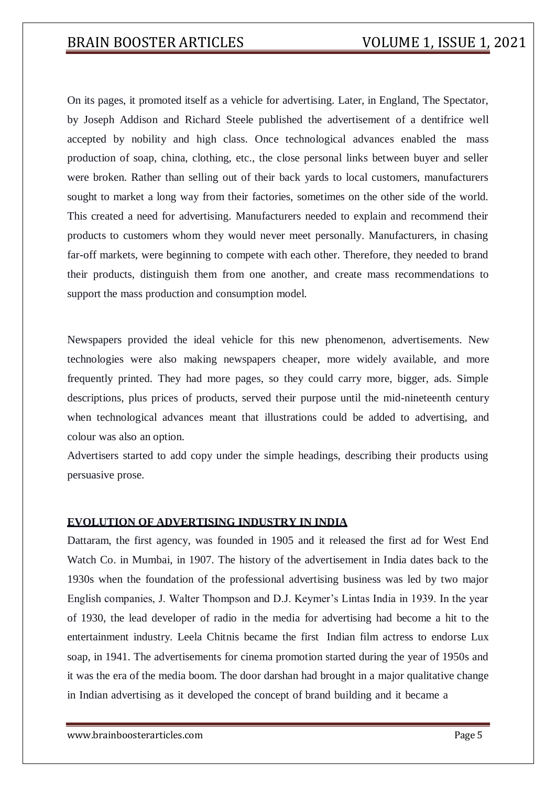On its pages, it promoted itself as a vehicle for advertising. Later, in England, The Spectator, by Joseph Addison and Richard Steele published the advertisement of a dentifrice well accepted by nobility and high class. Once technological advances enabled the mass production of soap, china, clothing, etc., the close personal links between buyer and seller were broken. Rather than selling out of their back yards to local customers, manufacturers sought to market a long way from their factories, sometimes on the other side of the world. This created a need for advertising. Manufacturers needed to explain and recommend their products to customers whom they would never meet personally. Manufacturers, in chasing far-off markets, were beginning to compete with each other. Therefore, they needed to brand their products, distinguish them from one another, and create mass recommendations to support the mass production and consumption model.

Newspapers provided the ideal vehicle for this new phenomenon, advertisements. New technologies were also making newspapers cheaper, more widely available, and more frequently printed. They had more pages, so they could carry more, bigger, ads. Simple descriptions, plus prices of products, served their purpose until the mid-nineteenth century when technological advances meant that illustrations could be added to advertising, and colour was also an option.

Advertisers started to add copy under the simple headings, describing their products using persuasive prose.

## **EVOLUTION OF ADVERTISING INDUSTRY IN INDIA**

Dattaram, the first agency, was founded in 1905 and it released the first ad for West End Watch Co. in Mumbai, in 1907. The history of the advertisement in India dates back to the 1930s when the foundation of the professional advertising business was led by two major English companies, J. Walter Thompson and D.J. Keymer's Lintas India in 1939. In the year of 1930, the lead developer of radio in the media for advertising had become a hit to the entertainment industry. Leela Chitnis became the first Indian film actress to endorse Lux soap, in 1941. The advertisements for cinema promotion started during the year of 1950s and it was the era of the media boom. The door darshan had brought in a major qualitative change in Indian advertising as it developed the concept of brand building and it became a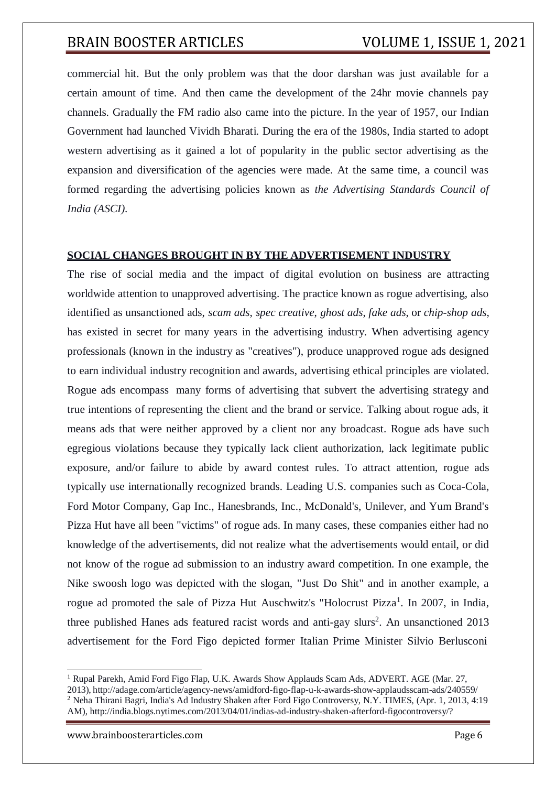commercial hit. But the only problem was that the door darshan was just available for a certain amount of time. And then came the development of the 24hr movie channels pay channels. Gradually the FM radio also came into the picture. In the year of 1957, our Indian Government had launched Vividh Bharati. During the era of the 1980s, India started to adopt western advertising as it gained a lot of popularity in the public sector advertising as the expansion and diversification of the agencies were made. At the same time, a council was formed regarding the advertising policies known as *the Advertising Standards Council of India (ASCI).*

## **SOCIAL CHANGES BROUGHT IN BY THE ADVERTISEMENT INDUSTRY**

The rise of social media and the impact of digital evolution on business are attracting worldwide attention to unapproved advertising. The practice known as rogue advertising, also identified as unsanctioned ads, *scam ads*, *spec creative*, *ghost ads*, *fake ads*, or *chip-shop ads*, has existed in secret for many years in the advertising industry. When advertising agency professionals (known in the industry as "creatives"), produce unapproved rogue ads designed to earn individual industry recognition and awards, advertising ethical principles are violated. Rogue ads encompass many forms of advertising that subvert the advertising strategy and true intentions of representing the client and the brand or service. Talking about rogue ads, it means ads that were neither approved by a client nor any broadcast. Rogue ads have such egregious violations because they typically lack client authorization, lack legitimate public exposure, and/or failure to abide by award contest rules. To attract attention, rogue ads typically use internationally recognized brands. Leading U.S. companies such as Coca-Cola, Ford Motor Company, Gap Inc., Hanesbrands, Inc., McDonald's, Unilever, and Yum Brand's Pizza Hut have all been "victims" of rogue ads. In many cases, these companies either had no knowledge of the advertisements, did not realize what the advertisements would entail, or did not know of the rogue ad submission to an industry award competition. In one example, the Nike swoosh logo was depicted with the slogan, "Just Do Shit" and in another example, a rogue ad promoted the sale of Pizza Hut Auschwitz's "Holocrust Pizza<sup>1</sup>. In 2007, in India, three published Hanes ads featured racist words and anti-gay slurs<sup>2</sup>. An unsanctioned 2013 advertisement for the Ford Figo depicted former Italian Prime Minister Silvio Berlusconi

[www.brainboosterarticles.com](http://www.brainboosterarticles.com/) Page 6

<sup>1</sup> Rupal Parekh, Amid Ford Figo Flap, U.K. Awards Show Applauds Scam Ads, ADVERT. AGE (Mar. 27, 2013), <http://adage.com/article/agency-news/amidford-figo-flap-u-k-awards-show-applaudsscam-ads/240559/> <sup>2</sup> Neha Thirani Bagri, India's Ad Industry Shaken after Ford Figo Controversy, N.Y. TIMES, (Apr. 1, 2013, 4:19 AM), [http://india.blogs.nytimes.com/2013/04/01/indias-ad-industry-shaken-afterford-figocontroversy/?](http://india.blogs.nytimes.com/2013/04/01/indias-ad-industry-shaken-afterford-figocontroversy/)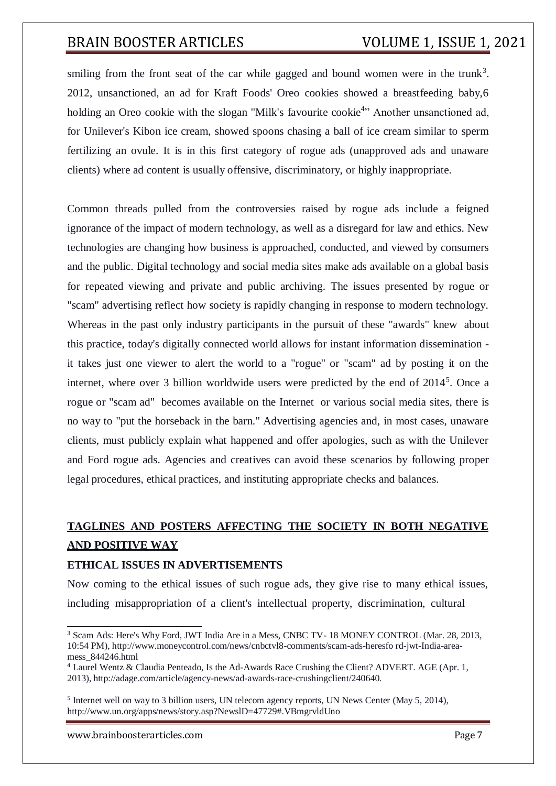smiling from the front seat of the car while gagged and bound women were in the trunk<sup>3</sup>. 2012, unsanctioned, an ad for Kraft Foods' Oreo cookies showed a breastfeeding baby,6 holding an Oreo cookie with the slogan "Milk's favourite cookie<sup>4</sup>" Another unsanctioned ad, for Unilever's Kibon ice cream, showed spoons chasing a ball of ice cream similar to sperm fertilizing an ovule. It is in this first category of rogue ads (unapproved ads and unaware clients) where ad content is usually offensive, discriminatory, or highly inappropriate.

Common threads pulled from the controversies raised by rogue ads include a feigned ignorance of the impact of modern technology, as well as a disregard for law and ethics. New technologies are changing how business is approached, conducted, and viewed by consumers and the public. Digital technology and social media sites make ads available on a global basis for repeated viewing and private and public archiving. The issues presented by rogue or "scam" advertising reflect how society is rapidly changing in response to modern technology. Whereas in the past only industry participants in the pursuit of these "awards" knew about this practice, today's digitally connected world allows for instant information dissemination it takes just one viewer to alert the world to a "rogue" or "scam" ad by posting it on the internet, where over 3 billion worldwide users were predicted by the end of 2014<sup>5</sup>. Once a rogue or "scam ad" becomes available on the Internet or various social media sites, there is no way to "put the horseback in the barn." Advertising agencies and, in most cases, unaware clients, must publicly explain what happened and offer apologies, such as with the Unilever and Ford rogue ads. Agencies and creatives can avoid these scenarios by following proper legal procedures, ethical practices, and instituting appropriate checks and balances.

# **TAGLINES AND POSTERS AFFECTING THE SOCIETY IN BOTH NEGATIVE AND POSITIVE WAY**

## **ETHICAL ISSUES IN ADVERTISEMENTS**

Now coming to the ethical issues of such rogue ads, they give rise to many ethical issues, including misappropriation of a client's intellectual property, discrimination, cultural

[www.brainboosterarticles.com](http://www.brainboosterarticles.com/) example of the page 7 and 20 and 20 and 20 and 20 and 20 and 20 and 20 and 20 and 20 and 20 and 20 and 20 and 20 and 20 and 20 and 20 and 20 and 20 and 20 and 20 and 20 and 20 and 20 and 20 and

<sup>&</sup>lt;sup>3</sup> Scam Ads: Here's Why Ford, JWT India Are in a Mess, CNBC TV-18 MONEY CONTROL (Mar. 28, 2013, 10:54 PM), [http://www.moneycontrol.com/news/cnbctvl8-comments/scam-ads-heresfo r](http://www.moneycontrol.com/news/cnbctvl8-comments/scam-ads-heresfo)d-jwt-India-areamess\_844246.html

<sup>4</sup> Laurel Wentz & Claudia Penteado, Is the Ad-Awards Race Crushing the Client? ADVERT. AGE (Apr. 1, 2013), [http://adage.com/article/agency-news/ad-awards-race-crushingclient/240640.](http://adage.com/article/agency-news/ad-awards-race-crushingclient/240640)

<sup>&</sup>lt;sup>5</sup> Internet well on way to 3 billion users, UN telecom agency reports, UN News Center (May 5, 2014), [http://www.un.org/apps/news/story.asp?NewslD=47729#.VBmgrvldUno](http://www.un.org/apps/news/story.asp?NewslD=47729&.VBmgrvldUno)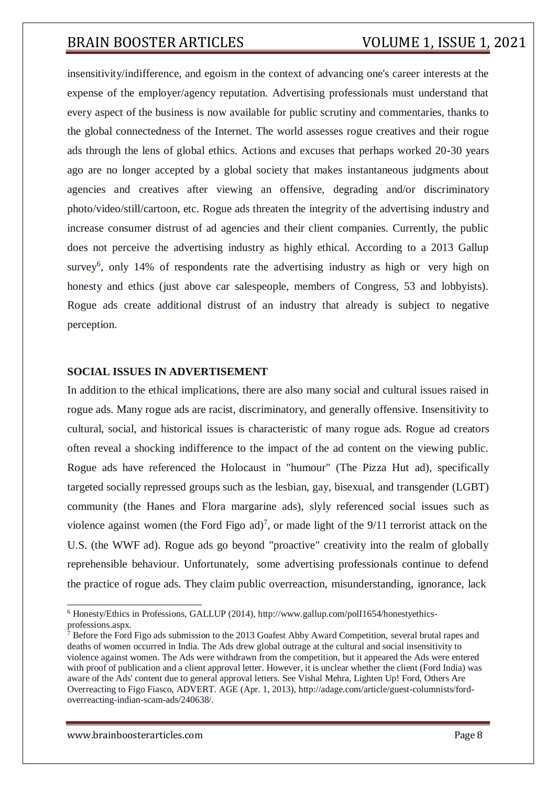insensitivity/indifference, and egoism in the context of advancing one's career interests at the expense of the employer/agency reputation. Advertising professionals must understand that every aspect of the business is now available for public scrutiny and commentaries, thanks to the global connectedness of the Internet. The world assesses rogue creatives and their rogue ads through the lens of global ethics. Actions and excuses that perhaps worked 20-30 years ago are no longer accepted by a global society that makes instantaneous judgments about agencies and creatives after viewing an offensive, degrading and/or discriminatory photo/video/still/cartoon, etc. Rogue ads threaten the integrity of the advertising industry and increase consumer distrust of ad agencies and their client companies. Currently, the public does not perceive the advertising industry as highly ethical. According to a 2013 Gallup survey<sup>6</sup>, only 14% of respondents rate the advertising industry as high or very high on honesty and ethics (just above car salespeople, members of Congress, 53 and lobbyists). Rogue ads create additional distrust of an industry that already is subject to negative perception.

### **SOCIAL ISSUES IN ADVERTISEMENT**

In addition to the ethical implications, there are also many social and cultural issues raised in rogue ads. Many rogue ads are racist, discriminatory, and generally offensive. Insensitivity to cultural, social, and historical issues is characteristic of many rogue ads. Rogue ad creators often reveal a shocking indifference to the impact of the ad content on the viewing public. Rogue ads have referenced the Holocaust in "humour" (The Pizza Hut ad), specifically targeted socially repressed groups such as the lesbian, gay, bisexual, and transgender (LGBT) community (the Hanes and Flora margarine ads), slyly referenced social issues such as violence against women (the Ford Figo ad)<sup>7</sup>, or made light of the  $9/11$  terrorist attack on the U.S. (the WWF ad). Rogue ads go beyond "proactive" creativity into the realm of globally reprehensible behaviour. Unfortunately, some advertising professionals continue to defend the practice of rogue ads. They claim public overreaction, misunderstanding, ignorance, lack

[www.brainboosterarticles.com](http://www.brainboosterarticles.com/) Page 8

<sup>6</sup> Honesty/Ethics in Professions, GALLUP (2014), [http://www.gallup.com/polI1654/honestyethics](http://www.gallup.com/polI1654/honestyethics-)professions.aspx.

 $\frac{1}{7}$  Before the Ford Figo ads submission to the 2013 Goafest Abby Award Competition, several brutal rapes and deaths of women occurred in India. The Ads drew global outrage at the cultural and social insensitivity to violence against women. The Ads were withdrawn from the competition, but it appeared the Ads were entered with proof of publication and a client approval letter. However, it is unclear whether the client (Ford India) was aware of the Ads' content due to general approval letters. See Vishal Mehra, Lighten Up! Ford, Others Are Overreacting to Figo Fiasco, ADVERT. AGE (Apr. 1, 2013)[, http://adage.com/article/guest-columnists/ford](http://adage.com/article/guest-columnists/ford-)overreacting-indian-scam-ads/240638/.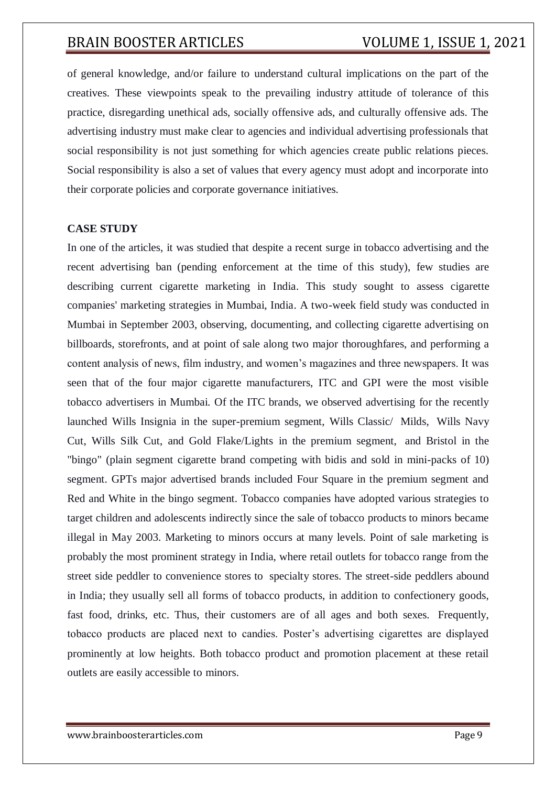of general knowledge, and/or failure to understand cultural implications on the part of the creatives. These viewpoints speak to the prevailing industry attitude of tolerance of this practice, disregarding unethical ads, socially offensive ads, and culturally offensive ads. The advertising industry must make clear to agencies and individual advertising professionals that social responsibility is not just something for which agencies create public relations pieces. Social responsibility is also a set of values that every agency must adopt and incorporate into their corporate policies and corporate governance initiatives.

## **CASE STUDY**

In one of the articles, it was studied that despite a recent surge in tobacco advertising and the recent advertising ban (pending enforcement at the time of this study), few studies are describing current cigarette marketing in India. This study sought to assess cigarette companies' marketing strategies in Mumbai, India. A two-week field study was conducted in Mumbai in September 2003, observing, documenting, and collecting cigarette advertising on billboards, storefronts, and at point of sale along two major thoroughfares, and performing a content analysis of news, film industry, and women's magazines and three newspapers. It was seen that of the four major cigarette manufacturers, ITC and GPI were the most visible tobacco advertisers in Mumbai. Of the ITC brands, we observed advertising for the recently launched Wills Insignia in the super-premium segment, Wills Classic/ Milds, Wills Navy Cut, Wills Silk Cut, and Gold Flake/Lights in the premium segment, and Bristol in the "bingo" (plain segment cigarette brand competing with bidis and sold in mini-packs of 10) segment. GPTs major advertised brands included Four Square in the premium segment and Red and White in the bingo segment. Tobacco companies have adopted various strategies to target children and adolescents indirectly since the sale of tobacco products to minors became illegal in May 2003. Marketing to minors occurs at many levels. Point of sale marketing is probably the most prominent strategy in India, where retail outlets for tobacco range from the street side peddler to convenience stores to specialty stores. The street-side peddlers abound in India; they usually sell all forms of tobacco products, in addition to confectionery goods, fast food, drinks, etc. Thus, their customers are of all ages and both sexes. Frequently, tobacco products are placed next to candies. Poster's advertising cigarettes are displayed prominently at low heights. Both tobacco product and promotion placement at these retail outlets are easily accessible to minors.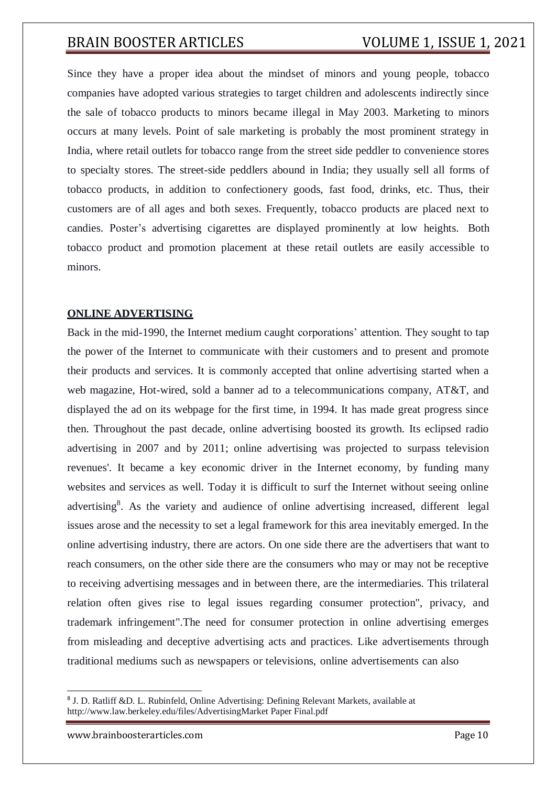Since they have a proper idea about the mindset of minors and young people, tobacco companies have adopted various strategies to target children and adolescents indirectly since the sale of tobacco products to minors became illegal in May 2003. Marketing to minors occurs at many levels. Point of sale marketing is probably the most prominent strategy in India, where retail outlets for tobacco range from the street side peddler to convenience stores to specialty stores. The street-side peddlers abound in India; they usually sell all forms of tobacco products, in addition to confectionery goods, fast food, drinks, etc. Thus, their customers are of all ages and both sexes. Frequently, tobacco products are placed next to candies. Poster's advertising cigarettes are displayed prominently at low heights. Both tobacco product and promotion placement at these retail outlets are easily accessible to minors.

## **ONLINE ADVERTISING**

Back in the mid-1990, the Internet medium caught corporations' attention. They sought to tap the power of the Internet to communicate with their customers and to present and promote their products and services. It is commonly accepted that online advertising started when a web magazine, Hot-wired, sold a banner ad to a telecommunications company, AT&T, and displayed the ad on its webpage for the first time, in 1994. It has made great progress since then. Throughout the past decade, online advertising boosted its growth. Its eclipsed radio advertising in 2007 and by 2011; online advertising was projected to surpass television revenues'. It became a key economic driver in the Internet economy, by funding many websites and services as well. Today it is difficult to surf the Internet without seeing online advertising<sup>8</sup>. As the variety and audience of online advertising increased, different legal issues arose and the necessity to set a legal framework for this area inevitably emerged. In the online advertising industry, there are actors. On one side there are the advertisers that want to reach consumers, on the other side there are the consumers who may or may not be receptive to receiving advertising messages and in between there, are the intermediaries. This trilateral relation often gives rise to legal issues regarding consumer protection", privacy, and trademark infringement".The need for consumer protection in online advertising emerges from misleading and deceptive advertising acts and practices. Like advertisements through traditional mediums such as newspapers or televisions, online advertisements can also

<sup>&</sup>lt;sup>8</sup> J. D. Ratliff &D. L. Rubinfeld, Online Advertising: Defining Relevant Markets, available at <http://www.law.berkeley.edu/files/AdvertisingMarket> Paper Final.pdf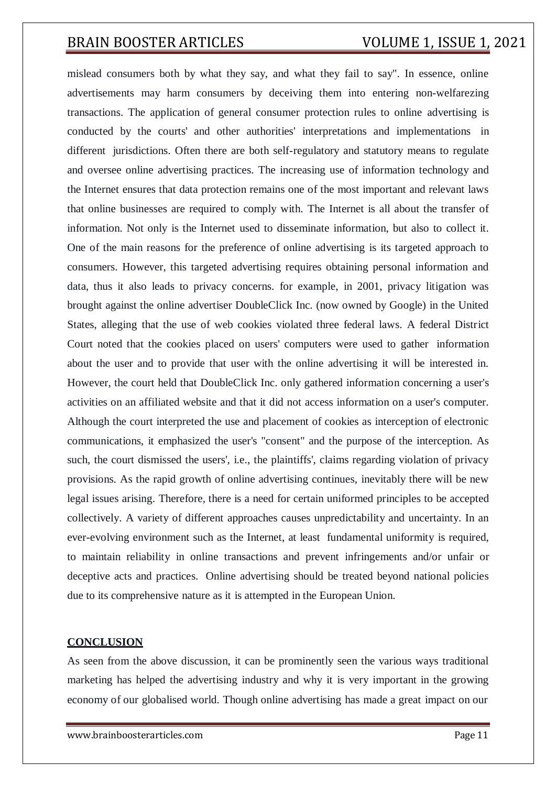mislead consumers both by what they say, and what they fail to say". In essence, online advertisements may harm consumers by deceiving them into entering non-welfarezing transactions. The application of general consumer protection rules to online advertising is conducted by the courts' and other authorities' interpretations and implementations in different jurisdictions. Often there are both self-regulatory and statutory means to regulate and oversee online advertising practices. The increasing use of information technology and the Internet ensures that data protection remains one of the most important and relevant laws that online businesses are required to comply with. The Internet is all about the transfer of information. Not only is the Internet used to disseminate information, but also to collect it. One of the main reasons for the preference of online advertising is its targeted approach to consumers. However, this targeted advertising requires obtaining personal information and data, thus it also leads to privacy concerns. for example, in 2001, privacy litigation was brought against the online advertiser DoubleClick Inc. (now owned by Google) in the United States, alleging that the use of web cookies violated three federal laws. A federal District Court noted that the cookies placed on users' computers were used to gather information about the user and to provide that user with the online advertising it will be interested in. However, the court held that DoubleClick Inc. only gathered information concerning a user's activities on an affiliated website and that it did not access information on a user's computer. Although the court interpreted the use and placement of cookies as interception of electronic communications, it emphasized the user's "consent" and the purpose of the interception. As such, the court dismissed the users', i.e., the plaintiffs', claims regarding violation of privacy provisions. As the rapid growth of online advertising continues, inevitably there will be new legal issues arising. Therefore, there is a need for certain uniformed principles to be accepted collectively. A variety of different approaches causes unpredictability and uncertainty. In an ever-evolving environment such as the Internet, at least fundamental uniformity is required, to maintain reliability in online transactions and prevent infringements and/or unfair or deceptive acts and practices. Online advertising should be treated beyond national policies due to its comprehensive nature as it is attempted in the European Union.

## **CONCLUSION**

As seen from the above discussion, it can be prominently seen the various ways traditional marketing has helped the advertising industry and why it is very important in the growing economy of our globalised world. Though online advertising has made a great impact on our